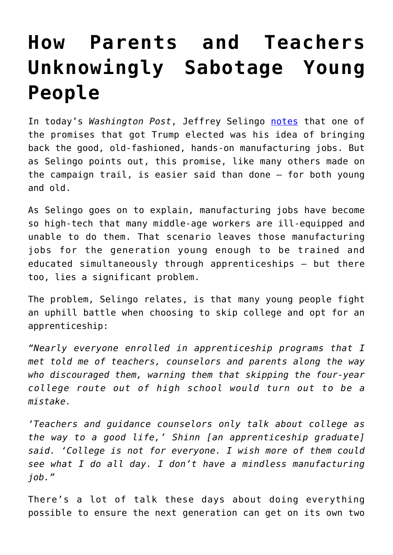## **[How Parents and Teachers](https://intellectualtakeout.org/2016/11/how-parents-and-teachers-unknowingly-sabotage-young-people/) [Unknowingly Sabotage Young](https://intellectualtakeout.org/2016/11/how-parents-and-teachers-unknowingly-sabotage-young-people/) [People](https://intellectualtakeout.org/2016/11/how-parents-and-teachers-unknowingly-sabotage-young-people/)**

In today's *Washington Post*, Jeffrey Selingo [notes](https://www.washingtonpost.com/news/grade-point/wp/2016/11/18/the-manufacturing-jobs-trump-promises-now-require-education-after-high-school-are-apprenticeships-the-answer/) that one of the promises that got Trump elected was his idea of bringing back the good, old-fashioned, hands-on manufacturing jobs. But as Selingo points out, this promise, like many others made on the campaign trail, is easier said than done – for both young and old.

As Selingo goes on to explain, manufacturing jobs have become so high-tech that many middle-age workers are ill-equipped and unable to do them. That scenario leaves those manufacturing jobs for the generation young enough to be trained and educated simultaneously through apprenticeships – but there too, lies a significant problem.

The problem, Selingo relates, is that many young people fight an uphill battle when choosing to skip college and opt for an apprenticeship:

*"Nearly everyone enrolled in apprenticeship programs that I met told me of teachers, counselors and parents along the way who discouraged them, warning them that skipping the four-year college route out of high school would turn out to be a mistake.*

*'Teachers and guidance counselors only talk about college as the way to a good life,' Shinn [an apprenticeship graduate] said. 'College is not for everyone. I wish more of them could see what I do all day. I don't have a mindless manufacturing job."*

There's a lot of talk these days about doing everything possible to ensure the next generation can get on its own two